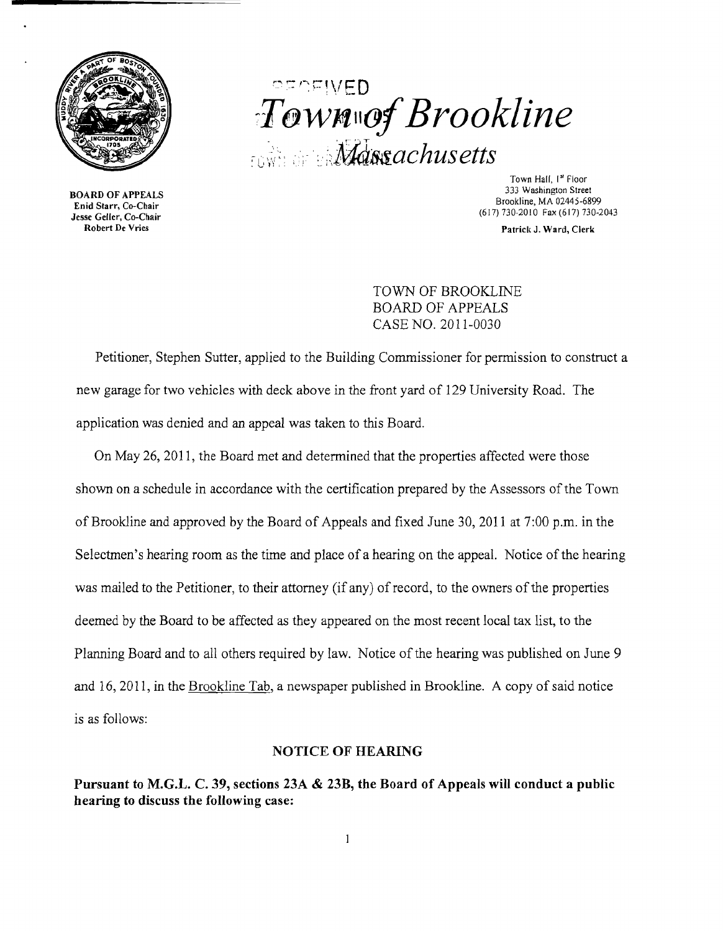

BOARD OF APPEALS Enid Starr, Co-Chair Jesse Geller, Co-Chair Robert De Vries

# ," .- ,... -'-"" ,-, ,~-.... ,\ ' J t= 0  $i$ *Town*wof Brookline  $\mathcal{M}$ dssachusetts

Town Hall, I<sup>st</sup> Floor 333 Washington Street Brookline, MA 02445-6899 (617) 730-2010 Fax (617) 730-2043

Patrick J. Ward, Clerk

TOWN OF BROOKLINE BOARD OF APPEALS CASE NO. 2011-0030

Petitioner, Stephen Sutter, applied to the Building Commissioner for permission to construct a new garage for two vehicles with deck above in the front yard of 129 University Road. The application was denied and an appeal was taken to this Board.

On May 26, 2011, the Board met and determined that the properties affected were those shown on a schedule in accordance with the certification prepared by the Assessors of the Town of Brookline and approved by the Board of Appeals and fixed June 30, 2011 at 7:00 p.m. in the Selectmen's hearing room as the time and place of a hearing on the appeal. Notice of the hearing was mailed to the Petitioner, to their attorney (if any) of record, to the owners of the properties deemed by the Board to be affected as they appeared on the most recent local tax list, to the Planning Board and to all others required by law. Notice of the hearing was published on June 9 and 16, 2011, in the Brookline Tab, a newspaper published in Brookline. A copy of said notice is as follows:

#### NOTICE OF HEARING

Pursuant to M.G.L. C. 39, sections 23A & 23B, the Board of Appeals will conduct a public hearing to discuss the following case: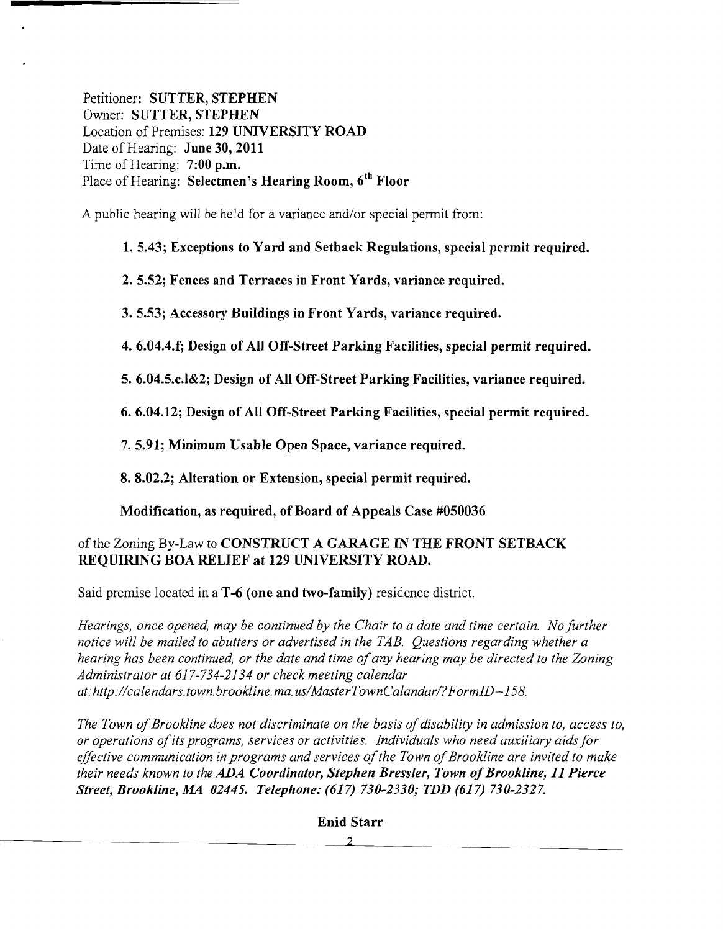Petitioner: SUTTER, STEPHEN Owner: SUTTER, STEPHEN Location of Premises: 129 UNIVERSITY ROAD Date of Hearing: **June 30, 2011** Time of Hearing: 7:00 p.m. Place of Hearing: Selectmen's Hearing Room, 6<sup>th</sup> Floor

A public hearing will be held for a variance and/or special permit from:

1. 5.43; Exceptions to Yard and Setback Regulations, special permit required.

2. 5.52; Fences and Terraces in Front Yards, variance required.

3.5.53; Accessory Buildings in Front Yards, variance required.

4. 6.04.4.f; Design of All Off-Street Parking Facilities, special permit required.

5. 6.04.5.c.l&2; Design of All Off-Street Parking Facilities, variance required.

6. 6.04.12; Design of All Off-Street Parking Facilities, special permit required.

7. 5.91; Minimum Usable Open Space, variance required.

8. 8.02.2; Alteration or Extension, special permit required.

Modification, as required, of Board of Appeals Case #050036

## of the Zoning By-Law to CONSTRUCT A GARAGE IN THE FRONT SETBACK REQUIRING BOA RELIEF at 129 UNIVERSITY ROAD.

Said premise located in a T-6 (one and two-family) residence district.

*Hearings, once opened, may be continued by the Chair to a date and time certain. No further notice will be mailed to abutters or advertised in the TAB. Questions regarding whether a*  hearing has been continued, or the date and time of any hearing may be directed to the Zoning *Administrator at* 617-734-2134 *or check meeting calendar at:http://calendars.town. brookline. ma. uslMasterTownCalandarl?FormID=158.* 

The Town of Brookline does not discriminate on the basis of disability in admission to, access to, *or operations ofits programs, services or activities. Individuals who need auxiliary aids for*  effective communication in programs and services of the Town of Brookline are invited to make *their needs known to the ADA Coordinator, Stephen Bressler, Town of Brookline, 11 Pierce Street, Brookline, MA 02445. Telephone:* (617) *730-2330,· TDD* (617) *730-2327.*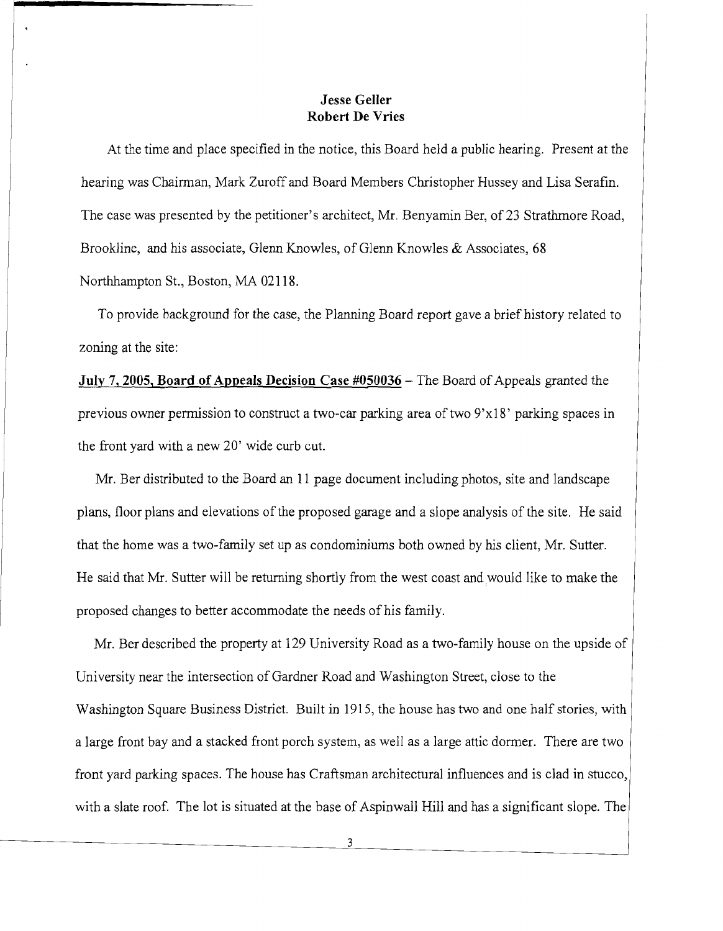#### **Jesse Geller** Robert De Vries

At the time and place specified in the notice, this Board held a public hearing. Present at the hearing was Chairman, Mark Zuroff and Board Members Christopher Hussey and Lisa Serafin. The case was presented by the petitioner's architect, Mr. Benyamin Ber, of 23 Strathmore Road, Brookline, and his associate, Glenn Knowles, of Glenn Knowles & Associates, 68 Northhampton St., Boston, MA 02118.

To provide background for the case, the Planning Board report gave a brief history related to zoning at the site:

July 7, 2005, Board of Appeals Decision Case #050036 – The Board of Appeals granted the previous owner permission to construct a two-car parking area of two 9'xI8' parking spaces in the front yard with a new 20' wide curb cut.

Mr. Ber distributed to the Board an 11 page document including photos, site and landscape plans, floor plans and elevations of the proposed garage and a slope analysis of the site. He said that the home was a two-family set up as condominiums both owned by his client, Mr. Sutter. He said that Mr. Sutter will be returning shortly from the west coast and would like to make the proposed changes to better accommodate the needs of his family.

Mr. Ber described the property at 129 University Road as a two-family house on the upside of University near the intersection of Gardner Road and Washington Street, close to the Washington Square Business District. Built in 1915, the house has two and one half stories, with a large front bay and a stacked front porch system, as well as a large attic dormer. There are two front yard parking spaces. The house has Craftsman architectural influences and is clad in stucco, with a slate roof. The lot is situated at the base of Aspinwall Hill and has a significant slope. The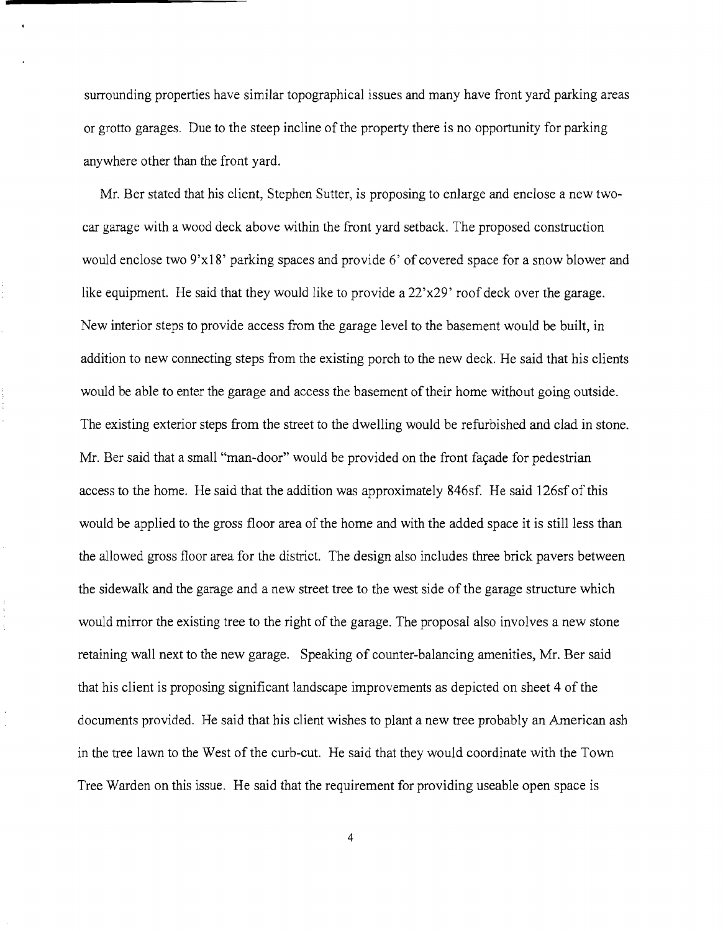surrounding properties have similar topographical issues and many have front yard parking areas or grotto garages. Due to the steep incline of the property there is no opportunity for parking anywhere other than the front yard.

Mr. Ber stated that his client, Stephen Sutter, is proposing to enlarge and enclose a new twocar garage with a wood deck above within the front yard setback. The proposed construction would enclose two 9'x18' parking spaces and provide 6' of covered space for a snow blower and like equipment. He said that they would like to provide a 22'x29' roof deck over the garage. New interior steps to provide access from the garage level to the basement would be built, in addition to new connecting steps from the existing porch to the new deck. He said that his clients would be able to enter the garage and access the basement of their home without going outside. The existing exterior steps from the street to the dwelling would be refurbished and clad in stone. Mr. Ber said that a small "man-door" would be provided on the front facade for pedestrian access to the home. He said that the addition was approximately 846sf. He said 126sf of this would be applied to the gross floor area of the home and with the added space it is still less than the allowed gross floor area for the district. The design also includes three brick pavers between the sidewalk and the garage and a new street tree to the west side of the garage structure which would mirror the existing tree to the right of the garage. The proposal also involves a new stone retaining wall next to the new garage. Speaking of counter-balancing amenities, Mr. Ber said that his client is proposing significant landscape improvements as depicted on sheet 4 of the documents provided. He said that his client wishes to plant a new tree probably an American ash in the tree lawn to the West of the curb-cut. He said that they would coordinate with the Town Tree Warden on this issue. He said that the requirement for providing useable open space is

4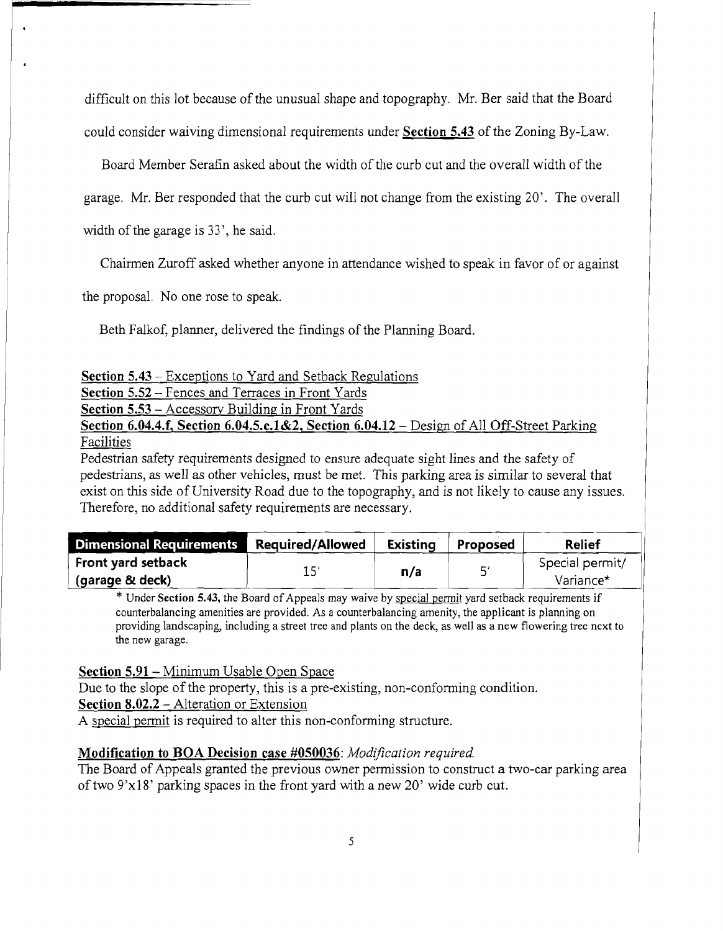difficult on this lot because of the unusual shape and topography. Mr. Ber said that the Board could consider waiving dimensional requirements under Section 5.43 of the Zoning By-Law.

Board Member Serafin asked about the width of the curb cut and the overall width of the

garage. Mr. Ber responded that the curb cut will not change from the existing 20'. The overall

width of the garage is 33', he said.

Chairmen Zuroff asked whether anyone in attendance wished to speak in favor of or against

the proposal. No one rose to speak.

Beth Falkof, planner, delivered the findings of the Planning Board.

| Section 5.43 – Exceptions to Yard and Setback Regulations |  |  |
|-----------------------------------------------------------|--|--|
|                                                           |  |  |

Section 5.52 - Fences and Terraces in Front Yards

Section 5.53 - Accessory Building in Front Yards

Section 6.04.4.f, Section 6.04.5.c.1&2, Section 6.04.12 – Design of All Off-Street Parking Facilities

Pedestrian safety requirements designed to ensure adequate sight lines and the safety of pedestrians, as well as other vehicles, must be met. This parking area is similar to several that exist on this side of University Road due to the topography, and is not likely to cause any issues. Therefore, no additional safety requirements are necessary.

| <b>Dimensional Requirements</b> | Required/Allowed | <b>Existing</b> | <b>Proposed</b> | <b>Relief</b>   |
|---------------------------------|------------------|-----------------|-----------------|-----------------|
| Front yard setback              |                  | n/a             | ς,              | Special permit/ |
| (garage & deck)                 |                  |                 |                 | Variance*       |

\* Under Section 5.43, the Board of Appeals may waive by special pennit yard setback requirements if counterbalancing amenities are provided. As a counterbalancing amenity, the applicant is planning on providing landscaping, including a street tree and plants on the deck, as well as a new flowering tree next to the new garage.

### Section 5.91 - Minimum Usable Open Space

Due to the slope of the property, this is a pre-existing, non-conforming condition. Section 8.02.2 - Alteration or Extension

A special permit is required to alter this non-conforming structure.

### Modification to BOA Decision case #050036: *Modification required.*

The Board of Appeals granted the previous owner permission to construct a two-car parking area of two 9'xl8' parking spaces in the front yard with a new 20' wide curb cut.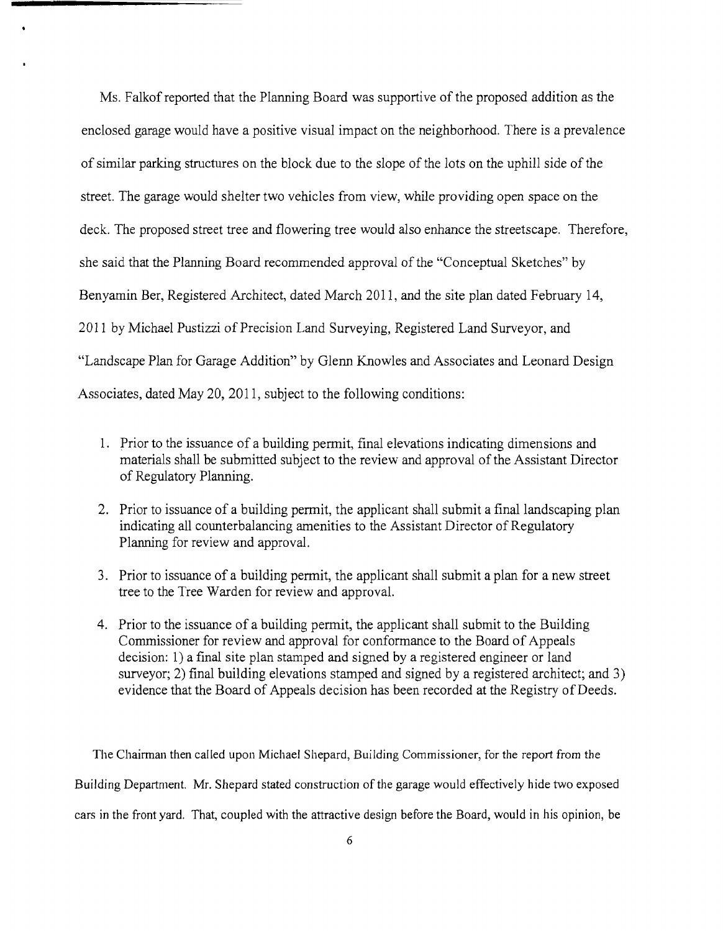Ms. Falkof reported that the Planning Board was supportive of the proposed addition as the enclosed garage would have a positive visual impact on the neighborhood. There is a prevalence of similar parking structures on the block due to the slope of the lots on the uphill side of the street. The garage would shelter two vehicles from view, while providing open space on the deck. The proposed street tree and flowering tree would also enhance the streetscape. Therefore, she said that the Planning Board recommended approval of the "Conceptual Sketches" by Benyamin Ber, Registered Architect, dated March 2011, and the site plan dated February 14, 2011 by Michael Pustizzi of Precision Land Surveying, Registered Land Surveyor, and "Landscape Plan for Garage Addition" by Glenn Knowles and Associates and Leonard Design Associates, dated May 20, 2011, subject to the following conditions:

- 1. Prior to the issuance of a building permit, final elevations indicating dimensions and materials shall be submitted subject to the review and approval ofthe Assistant Director of Regulatory Planning.
- 2. Prior to issuance of a building permit, the applicant shall submit a final landscaping plan indicating all counterbalancing amenities to the Assistant Director of Regulatory Planning for review and approval.
- 3. Prior to issuance of a building permit, the applicant shall submit a plan for a new street tree to the Tree Warden for review and approval.
- 4. Prior to the issuance of a building permit, the applicant shall submit to the Building Commissioner for review and approval for conformance to the Board of Appeals decision: 1) a final site plan stamped and signed by a registered engineer or land surveyor; 2) final building elevations stamped and signed by a registered architect; and 3) evidence that the Board of Appeals decision has been recorded at the Registry of Deeds.

The Chairman then called upon Michael Shepard, Building Commissioner, for the report from the Building Department. Mr. Shepard stated construction of the garage would effectively hide two exposed cars in the front yard. That, coupled with the attractive design before the Board, would in his opinion, be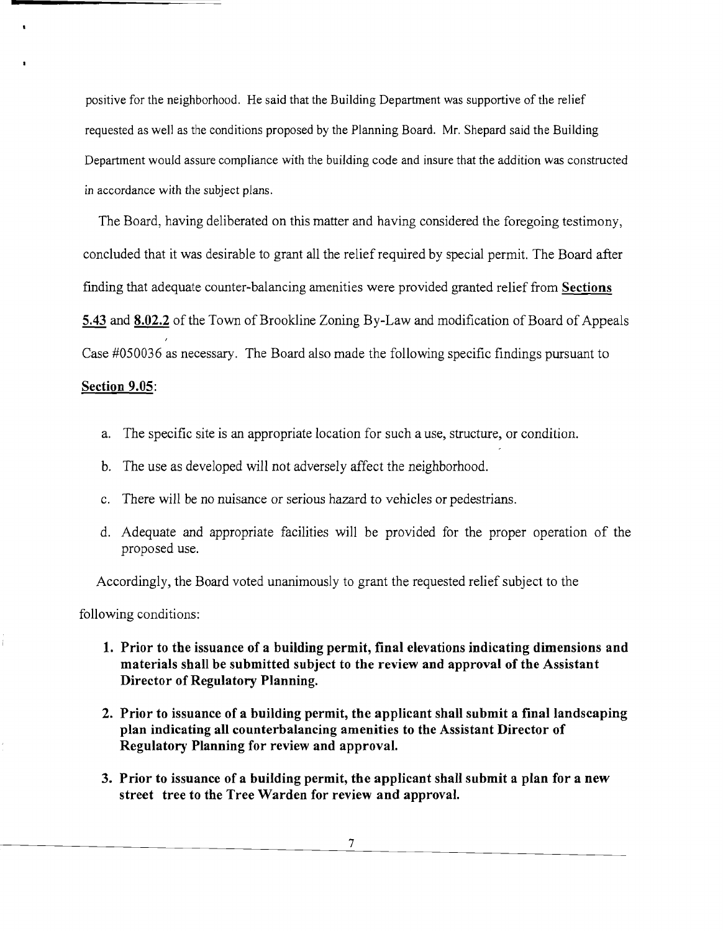positive for the neighborhood. He said that the Building Department was supportive of the relief requested as well as the conditions proposed by the Planning Board. Mr. Shepard said the Building Department would assure compliance with the building code and insure that the addition was constructed in accordance with the subject plans.

The Board, having deliberated on this matter and having considered the foregoing testimony, concluded that it was desirable to grant all the relief required by special permit. The Board after finding that adequate counter-balancing amenities were provided granted relief from **Sections 5.43 and 8.02.2** of the Town of Brookline Zoning By-Law and modification of Board of Appeals Case #050036 as necessary. The Board also made the following specific findings pursuant to

#### **Section 9.05:**

- a. The specific site is an appropriate location for such a use, structure, or condition.
- b. The use as developed will not adversely affect the neighborhood.
- c. There will be no nuisance or serious hazard to vehicles or pedestrians.
- d. Adequate and appropriate facilities will be provided for the proper operation of the proposed use.

Accordingly, the Board voted unanimously to grant the requested relief subject to the

following conditions:

- **1. Prior to the issuance of a building permit, final elevations indicating dimensions and materials shall be submitted subject to the review and approval of the Assistant Director of Regulatory Planning.**
- **2. Prior to issuance of a building permit, the applicant shall submit a** final landscaping **plan indicating all counterbalancing amenities to the Assistant Director of Regulatory Planning for review and approval.**
- **3. Prior to issuance of a building permit, the applicant shall submit a plan for a new street tree to the Tree Warden for review and approval.**

7